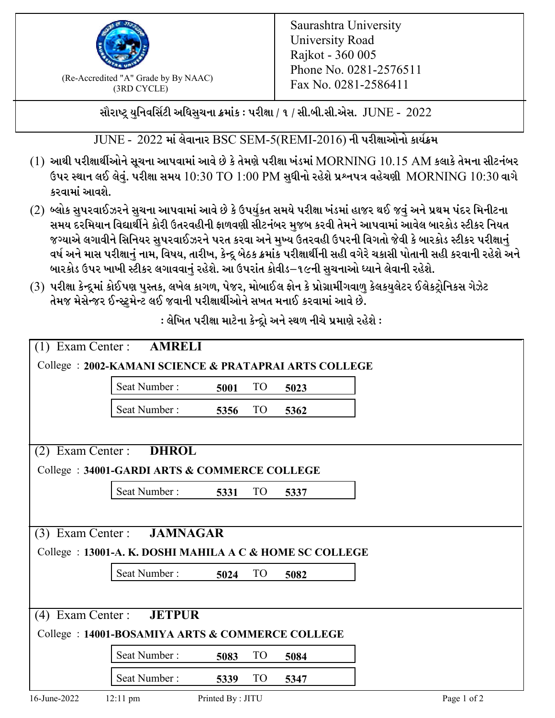

 $F_{\text{R}}$  (Re-Accredited "A" Grade by By NAAC)<br>(3PD CVCLE)<br> $F_{\text{R}}$  No. 0281-2586411 (3RD CYCLE)

સૌરાષ્ટ્ર યુનિવર્સિટી અધિસુચના ક્રમાંક : પરીક્ષા / ૧ / સી.બી.સી.એસ.  $\,$  JUNE -  $\,2022$ 

 $JUNE - 2022$  માં લેવાનાર BSC SEM-5(REMI-2016) ની પરીક્ષાઓનો કાર્યક્રમ

- $(1)$  આથી પરીક્ષાર્થીઓને સૂચના આપવામાં આવે છે કે તેમણે પરીક્ષા ખંડમાં  $\operatorname{MORNING}$   $10.15$   $\operatorname{AM}$  કલાકે તેમના સીટનંબર ઉપર સ્થાન લઈ લેવું. પરીક્ષા સમય  $10:30 \text{ TO } 1:00 \text{ PM}$  સુધીનો રહેશે પ્રશ્નપત્ર વહેચણી  $\text{MORNING } 10:30$  વાગે કરવામાં આવશે.
- (2) બ્લોક સુપરવાઈઝરને સુચના આપવામાં આવે છે કે ઉપર્યુકત સમયે પરીક્ષા ખંડમાં હાજર થઈ જવું અને પ્રથમ પંદર મિનીટના સમય દરમિયાન વિદ્યાર્થીને કોરી ઉતરવહીની ફાળવણી સીટનંબર મજબ કરવી તેમને આપવામાં આવેલ બારકોડ સ્ટીકર નિયત જગ્યાએ લગાવીને સિનિયર સુપરવાઈઝરને પરત કરવા અને મુખ્ય ઉતરવહી ઉપરની વિગતો જેવી કે બારકોડ સ્ટીકર પરીક્ષ<u>ાન</u>ં વર્ષ અને માસ પરીક્ષાનું નામ, વિષય, તારીખ, કેન્દ્ર બેઠક ક્રમાંક પરીક્ષાર્થીની સહી વગેરે ચકાસી પોતાની સહી કરવાની રહેશે અને બારકોડ ઉપર ખાખી સ્ટીકર લગાવવાનું રહેશે. આ ઉપરાંત કોવીડ–૧૯ની સુચનાઓ ધ્યાને લેવાની રહેશે.
- (3) પરીક્ષા કેન્દ્રમાં કોઈપણ પુસ્તક, લખેલ કાગળ, પેજર, મોબાઈલ ફોન કે પ્રોગ્રામીંગવાળુ કેલકયુલેટર ઈલેકટ્રોનિકસ ગેઝેટ તેમજ મેસેન્જર ઈન્સ્ટ્રૂમેન્ટ લઈ જવાની પરીક્ષાર્થીઓને સખત મનાઈ કરવામાં આવે છે.

| $(1)$ Exam Center :<br><b>AMRELI</b>                     |                                              |                  |                 |      |             |  |
|----------------------------------------------------------|----------------------------------------------|------------------|-----------------|------|-------------|--|
| College: 2002-KAMANI SCIENCE & PRATAPRAI ARTS COLLEGE    |                                              |                  |                 |      |             |  |
|                                                          | Seat Number:                                 | 5001             | TO <sub>1</sub> | 5023 |             |  |
|                                                          | Seat Number:                                 | 5356             | <b>TO</b>       | 5362 |             |  |
|                                                          |                                              |                  |                 |      |             |  |
| Exam Center:<br>(2)                                      | <b>DHROL</b>                                 |                  |                 |      |             |  |
|                                                          | College: 34001-GARDI ARTS & COMMERCE COLLEGE |                  |                 |      |             |  |
|                                                          | Seat Number:                                 | 5331             | TO <sub>1</sub> | 5337 |             |  |
|                                                          |                                              |                  |                 |      |             |  |
| $(3)$ Exam Center :                                      | <b>JAMNAGAR</b>                              |                  |                 |      |             |  |
| College : 13001-A. K. DOSHI MAHILA A C & HOME SC COLLEGE |                                              |                  |                 |      |             |  |
|                                                          | Seat Number:                                 | 5024             | <b>TO</b>       | 5082 |             |  |
|                                                          |                                              |                  |                 |      |             |  |
| Exam Center:<br>(4)                                      | <b>JETPUR</b>                                |                  |                 |      |             |  |
| College: 14001-BOSAMIYA ARTS & COMMERCE COLLEGE          |                                              |                  |                 |      |             |  |
|                                                          | Seat Number:                                 | 5083             | <b>TO</b>       | 5084 |             |  |
|                                                          | Seat Number:                                 | 5339             | <b>TO</b>       | 5347 |             |  |
| 16-June-2022                                             | $12:11 \text{ pm}$                           | Printed By: JITU |                 |      | Page 1 of 2 |  |

: લેખિત પરીક્ષા માટેના કેન્દ્રો અને સ્થળ નીચે પ્રમાણે રહેશે :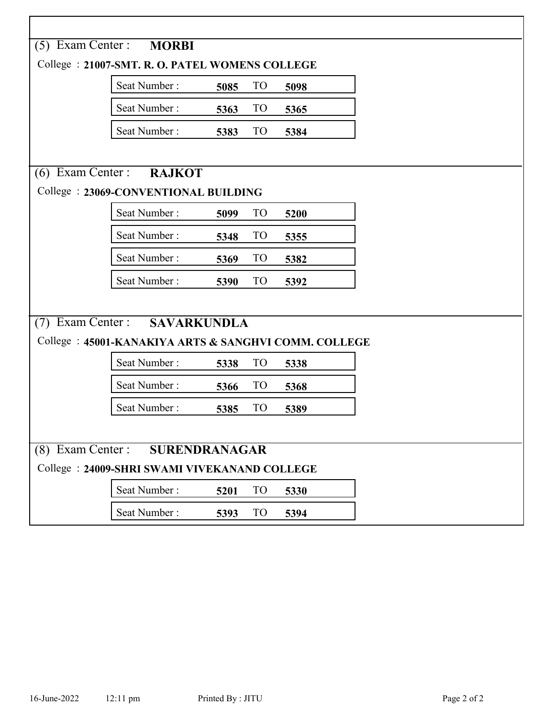|                                              | (5) Exam Center : <b>MORBI</b>                       |      |                 |      |  |  |
|----------------------------------------------|------------------------------------------------------|------|-----------------|------|--|--|
|                                              | College: 21007-SMT. R. O. PATEL WOMENS COLLEGE       |      |                 |      |  |  |
|                                              | Seat Number:                                         | 5085 | TO <sub>1</sub> | 5098 |  |  |
|                                              | Seat Number:                                         | 5363 | TO <sub>1</sub> | 5365 |  |  |
|                                              | Seat Number:                                         | 5383 | TO <sub>1</sub> | 5384 |  |  |
|                                              |                                                      |      |                 |      |  |  |
|                                              | (6) Exam Center : RAJKOT                             |      |                 |      |  |  |
|                                              | College: 23069-CONVENTIONAL BUILDING                 |      |                 |      |  |  |
|                                              | Seat Number:                                         | 5099 | <b>TO</b>       | 5200 |  |  |
|                                              | Seat Number:                                         | 5348 | TO <sub>1</sub> | 5355 |  |  |
|                                              | Seat Number:                                         | 5369 | <b>TO</b>       | 5382 |  |  |
|                                              | Seat Number:                                         | 5390 | TO <sub>1</sub> | 5392 |  |  |
|                                              |                                                      |      |                 |      |  |  |
|                                              | (7) Exam Center : SAVARKUNDLA                        |      |                 |      |  |  |
|                                              | College: 45001-KANAKIYA ARTS & SANGHVI COMM. COLLEGE |      |                 |      |  |  |
|                                              | Seat Number:                                         | 5338 | TO <sub>1</sub> | 5338 |  |  |
|                                              | Seat Number:                                         | 5366 | TO <sub>1</sub> | 5368 |  |  |
|                                              | Seat Number:                                         | 5385 | TO <sub>1</sub> | 5389 |  |  |
|                                              |                                                      |      |                 |      |  |  |
| (8) Exam Center : SURENDRANAGAR              |                                                      |      |                 |      |  |  |
| College: 24009-SHRI SWAMI VIVEKANAND COLLEGE |                                                      |      |                 |      |  |  |
|                                              | Seat Number:                                         | 5201 | T <sub>O</sub>  | 5330 |  |  |
|                                              | Seat Number:                                         | 5393 | TO <sub>1</sub> | 5394 |  |  |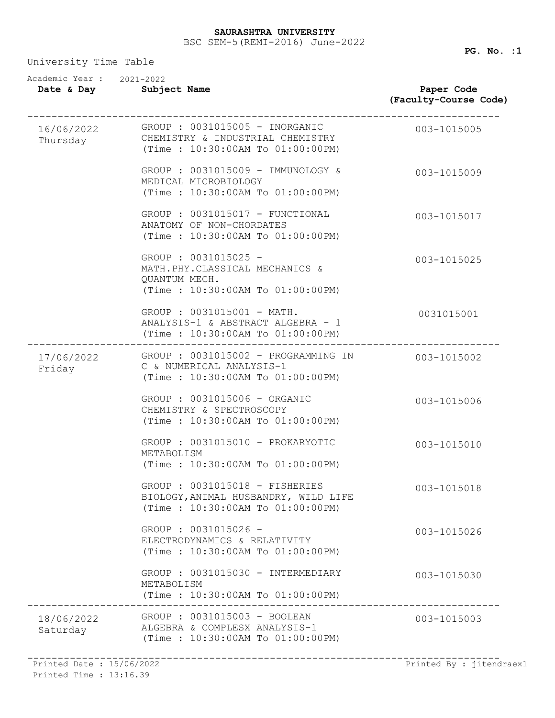University Time Table

| Academic Year: 2021-2022<br>Date & Day | Subject Name                                                                                                | Paper Code<br>(Faculty-Course Code) |
|----------------------------------------|-------------------------------------------------------------------------------------------------------------|-------------------------------------|
| 16/06/2022<br>Thursday                 | GROUP : 0031015005 - INORGANIC<br>CHEMISTRY & INDUSTRIAL CHEMISTRY<br>(Time: 10:30:00AM To 01:00:00PM)      | 003-1015005                         |
|                                        | GROUP : 0031015009 - IMMUNOLOGY &<br>MEDICAL MICROBIOLOGY<br>(Time: 10:30:00AM To 01:00:00PM)               | 003-1015009                         |
|                                        | GROUP : 0031015017 - FUNCTIONAL<br>ANATOMY OF NON-CHORDATES<br>(Time: 10:30:00AM To 01:00:00PM)             | 003-1015017                         |
|                                        | GROUP : 0031015025 -<br>MATH.PHY.CLASSICAL MECHANICS &<br>QUANTUM MECH.<br>(Time: 10:30:00AM To 01:00:00PM) | 003-1015025                         |
|                                        | GROUP : 0031015001 - MATH.<br>ANALYSIS-1 & ABSTRACT ALGEBRA - 1<br>(Time: 10:30:00AM To 01:00:00PM)         | 0031015001                          |
| 17/06/2022<br>Friday                   | GROUP : 0031015002 - PROGRAMMING IN<br>C & NUMERICAL ANALYSIS-1<br>(Time: 10:30:00AM To 01:00:00PM)         | 003-1015002                         |
|                                        | GROUP : 0031015006 - ORGANIC<br>CHEMISTRY & SPECTROSCOPY<br>(Time: 10:30:00AM To 01:00:00PM)                | 003-1015006                         |
|                                        | GROUP : 0031015010 - PROKARYOTIC<br>METABOLISM<br>(Time: 10:30:00AM To 01:00:00PM)                          | 003-1015010                         |
|                                        | GROUP : 0031015018 - FISHERIES<br>BIOLOGY, ANIMAL HUSBANDRY, WILD LIFE<br>(Time: 10:30:00AM To 01:00:00PM)  | 003-1015018                         |
|                                        | GROUP : 0031015026 -<br>ELECTRODYNAMICS & RELATIVITY<br>(Time: 10:30:00AM To 01:00:00PM)                    | 003-1015026                         |
|                                        | GROUP : 0031015030 - INTERMEDIARY<br>METABOLISM<br>(Time: 10:30:00AM To 01:00:00PM)                         | 003-1015030                         |
| 18/06/2022<br>Saturday                 | GROUP : 0031015003 - BOOLEAN<br>ALGEBRA & COMPLESX ANALYSIS-1<br>(Time: 10:30:00AM To 01:00:00PM)           | 003-1015003                         |

Printed Time : 13:16.39

------------------------------------------------------------------------------ Printed Date : 15/06/2022 Printed By : jitendraex1